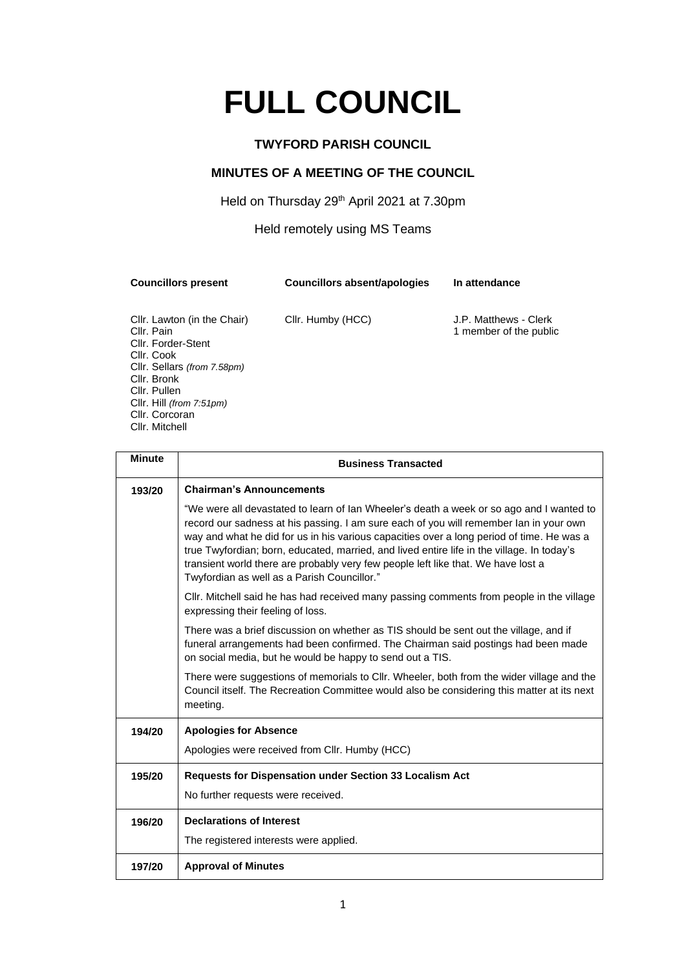# **FULL COUNCIL**

## **TWYFORD PARISH COUNCIL**

## **MINUTES OF A MEETING OF THE COUNCIL**

Held on Thursday 29<sup>th</sup> April 2021 at 7.30pm

#### Held remotely using MS Teams

**Councillors present Councillors absent/apologies In attendance**

Cllr. Lawton (in the Chair) Cllr. Humby (HCC) J.P. Matthews - Clerk<br>Cllr. Pain 1 member of the public Cllr. Forder-Stent Cllr. Cook Cllr. Sellars *(from 7.58pm)* Cllr. Bronk Cllr. Pullen Cllr. Hill *(from 7:51pm)* Cllr. Corcoran Cllr. Mitchell

1 member of the public

| <b>Minute</b> | <b>Business Transacted</b>                                                                                                                                                                                                                                                                                                                                                                                                                                                                                        |  |  |  |
|---------------|-------------------------------------------------------------------------------------------------------------------------------------------------------------------------------------------------------------------------------------------------------------------------------------------------------------------------------------------------------------------------------------------------------------------------------------------------------------------------------------------------------------------|--|--|--|
| 193/20        | <b>Chairman's Announcements</b>                                                                                                                                                                                                                                                                                                                                                                                                                                                                                   |  |  |  |
|               | "We were all devastated to learn of lan Wheeler's death a week or so ago and I wanted to<br>record our sadness at his passing. I am sure each of you will remember Ian in your own<br>way and what he did for us in his various capacities over a long period of time. He was a<br>true Twyfordian; born, educated, married, and lived entire life in the village. In today's<br>transient world there are probably very few people left like that. We have lost a<br>Twyfordian as well as a Parish Councillor." |  |  |  |
|               | CIIr. Mitchell said he has had received many passing comments from people in the village<br>expressing their feeling of loss.                                                                                                                                                                                                                                                                                                                                                                                     |  |  |  |
|               | There was a brief discussion on whether as TIS should be sent out the village, and if<br>funeral arrangements had been confirmed. The Chairman said postings had been made<br>on social media, but he would be happy to send out a TIS.                                                                                                                                                                                                                                                                           |  |  |  |
|               | There were suggestions of memorials to Cllr. Wheeler, both from the wider village and the<br>Council itself. The Recreation Committee would also be considering this matter at its next<br>meeting.                                                                                                                                                                                                                                                                                                               |  |  |  |
| 194/20        | <b>Apologies for Absence</b>                                                                                                                                                                                                                                                                                                                                                                                                                                                                                      |  |  |  |
|               | Apologies were received from Cllr. Humby (HCC)                                                                                                                                                                                                                                                                                                                                                                                                                                                                    |  |  |  |
| 195/20        | Requests for Dispensation under Section 33 Localism Act                                                                                                                                                                                                                                                                                                                                                                                                                                                           |  |  |  |
|               | No further requests were received.                                                                                                                                                                                                                                                                                                                                                                                                                                                                                |  |  |  |
| 196/20        | <b>Declarations of Interest</b>                                                                                                                                                                                                                                                                                                                                                                                                                                                                                   |  |  |  |
|               | The registered interests were applied.                                                                                                                                                                                                                                                                                                                                                                                                                                                                            |  |  |  |
| 197/20        | <b>Approval of Minutes</b>                                                                                                                                                                                                                                                                                                                                                                                                                                                                                        |  |  |  |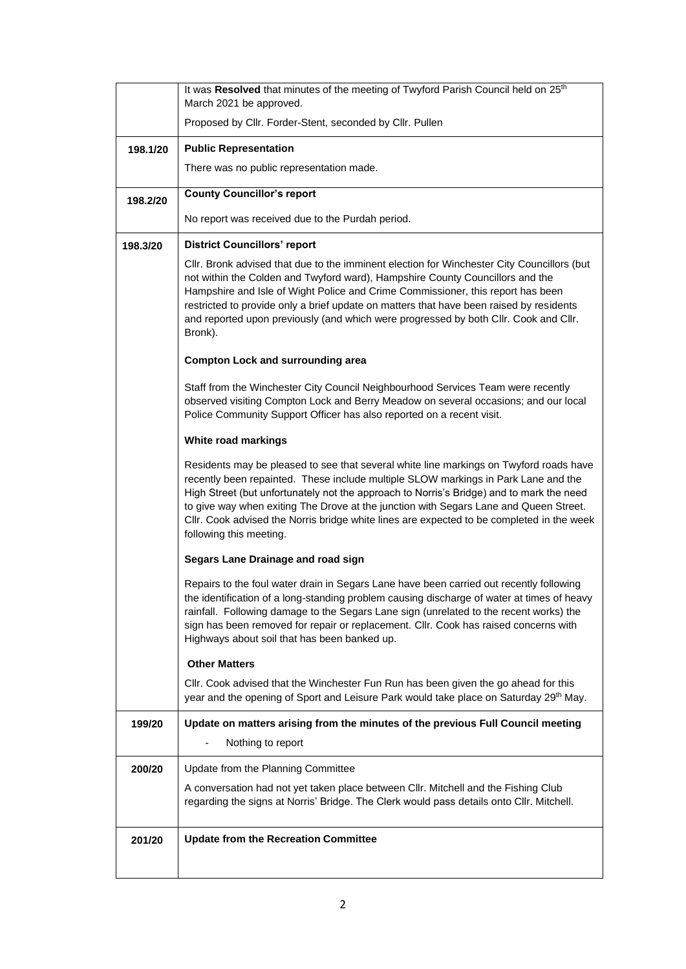|          | It was Resolved that minutes of the meeting of Twyford Parish Council held on 25 <sup>th</sup><br>March 2021 be approved.                                                                                                                                                                                                                                                                                                                                                                 |  |
|----------|-------------------------------------------------------------------------------------------------------------------------------------------------------------------------------------------------------------------------------------------------------------------------------------------------------------------------------------------------------------------------------------------------------------------------------------------------------------------------------------------|--|
|          | Proposed by Cllr. Forder-Stent, seconded by Cllr. Pullen                                                                                                                                                                                                                                                                                                                                                                                                                                  |  |
| 198.1/20 | <b>Public Representation</b>                                                                                                                                                                                                                                                                                                                                                                                                                                                              |  |
|          | There was no public representation made.                                                                                                                                                                                                                                                                                                                                                                                                                                                  |  |
|          | <b>County Councillor's report</b>                                                                                                                                                                                                                                                                                                                                                                                                                                                         |  |
| 198.2/20 | No report was received due to the Purdah period.                                                                                                                                                                                                                                                                                                                                                                                                                                          |  |
|          |                                                                                                                                                                                                                                                                                                                                                                                                                                                                                           |  |
| 198.3/20 | <b>District Councillors' report</b><br>CIIr. Bronk advised that due to the imminent election for Winchester City Councillors (but                                                                                                                                                                                                                                                                                                                                                         |  |
|          | not within the Colden and Twyford ward), Hampshire County Councillors and the<br>Hampshire and Isle of Wight Police and Crime Commissioner, this report has been<br>restricted to provide only a brief update on matters that have been raised by residents<br>and reported upon previously (and which were progressed by both Cllr. Cook and Cllr.<br>Bronk).                                                                                                                            |  |
|          | <b>Compton Lock and surrounding area</b>                                                                                                                                                                                                                                                                                                                                                                                                                                                  |  |
|          | Staff from the Winchester City Council Neighbourhood Services Team were recently<br>observed visiting Compton Lock and Berry Meadow on several occasions; and our local<br>Police Community Support Officer has also reported on a recent visit.                                                                                                                                                                                                                                          |  |
|          | White road markings                                                                                                                                                                                                                                                                                                                                                                                                                                                                       |  |
|          | Residents may be pleased to see that several white line markings on Twyford roads have<br>recently been repainted. These include multiple SLOW markings in Park Lane and the<br>High Street (but unfortunately not the approach to Norris's Bridge) and to mark the need<br>to give way when exiting The Drove at the junction with Segars Lane and Queen Street.<br>CIIr. Cook advised the Norris bridge white lines are expected to be completed in the week<br>following this meeting. |  |
|          | Segars Lane Drainage and road sign                                                                                                                                                                                                                                                                                                                                                                                                                                                        |  |
|          | Repairs to the foul water drain in Segars Lane have been carried out recently following<br>the identification of a long-standing problem causing discharge of water at times of heavy<br>rainfall. Following damage to the Segars Lane sign (unrelated to the recent works) the<br>sign has been removed for repair or replacement. Cllr. Cook has raised concerns with<br>Highways about soil that has been banked up.                                                                   |  |
|          | <b>Other Matters</b>                                                                                                                                                                                                                                                                                                                                                                                                                                                                      |  |
|          | CIIr. Cook advised that the Winchester Fun Run has been given the go ahead for this<br>year and the opening of Sport and Leisure Park would take place on Saturday 29th May.                                                                                                                                                                                                                                                                                                              |  |
| 199/20   | Update on matters arising from the minutes of the previous Full Council meeting                                                                                                                                                                                                                                                                                                                                                                                                           |  |
|          | Nothing to report                                                                                                                                                                                                                                                                                                                                                                                                                                                                         |  |
| 200/20   | Update from the Planning Committee                                                                                                                                                                                                                                                                                                                                                                                                                                                        |  |
|          | A conversation had not yet taken place between Cllr. Mitchell and the Fishing Club<br>regarding the signs at Norris' Bridge. The Clerk would pass details onto Cllr. Mitchell.                                                                                                                                                                                                                                                                                                            |  |
| 201/20   | <b>Update from the Recreation Committee</b>                                                                                                                                                                                                                                                                                                                                                                                                                                               |  |
|          |                                                                                                                                                                                                                                                                                                                                                                                                                                                                                           |  |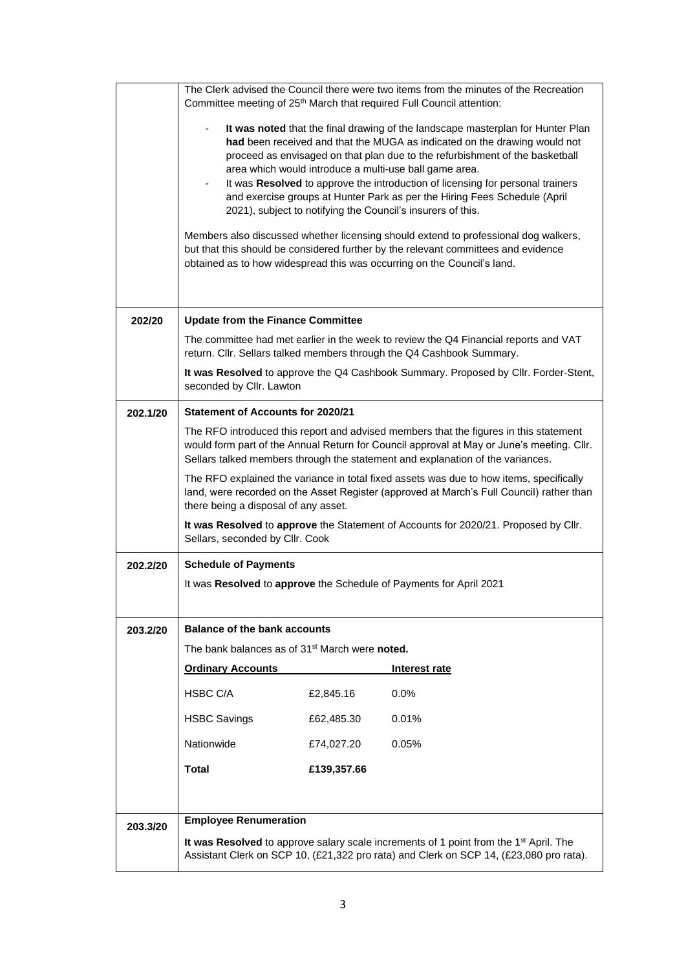|          |                                                                                                                                                               |             | The Clerk advised the Council there were two items from the minutes of the Recreation<br>Committee meeting of 25 <sup>th</sup> March that required Full Council attention:                                                                                                                                                                                                                                                                                                                                                                                                                                                                                                                                                                                                                   |
|----------|---------------------------------------------------------------------------------------------------------------------------------------------------------------|-------------|----------------------------------------------------------------------------------------------------------------------------------------------------------------------------------------------------------------------------------------------------------------------------------------------------------------------------------------------------------------------------------------------------------------------------------------------------------------------------------------------------------------------------------------------------------------------------------------------------------------------------------------------------------------------------------------------------------------------------------------------------------------------------------------------|
|          |                                                                                                                                                               |             | It was noted that the final drawing of the landscape masterplan for Hunter Plan<br>had been received and that the MUGA as indicated on the drawing would not<br>proceed as envisaged on that plan due to the refurbishment of the basketball<br>area which would introduce a multi-use ball game area.<br>It was Resolved to approve the introduction of licensing for personal trainers<br>and exercise groups at Hunter Park as per the Hiring Fees Schedule (April<br>2021), subject to notifying the Council's insurers of this.<br>Members also discussed whether licensing should extend to professional dog walkers,<br>but that this should be considered further by the relevant committees and evidence<br>obtained as to how widespread this was occurring on the Council's land. |
| 202/20   | <b>Update from the Finance Committee</b>                                                                                                                      |             |                                                                                                                                                                                                                                                                                                                                                                                                                                                                                                                                                                                                                                                                                                                                                                                              |
|          | The committee had met earlier in the week to review the Q4 Financial reports and VAT<br>return. Cllr. Sellars talked members through the Q4 Cashbook Summary. |             |                                                                                                                                                                                                                                                                                                                                                                                                                                                                                                                                                                                                                                                                                                                                                                                              |
|          | seconded by Cllr. Lawton                                                                                                                                      |             | It was Resolved to approve the Q4 Cashbook Summary. Proposed by Cllr. Forder-Stent,                                                                                                                                                                                                                                                                                                                                                                                                                                                                                                                                                                                                                                                                                                          |
| 202.1/20 | <b>Statement of Accounts for 2020/21</b>                                                                                                                      |             |                                                                                                                                                                                                                                                                                                                                                                                                                                                                                                                                                                                                                                                                                                                                                                                              |
|          |                                                                                                                                                               |             | The RFO introduced this report and advised members that the figures in this statement<br>would form part of the Annual Return for Council approval at May or June's meeting. Cllr.<br>Sellars talked members through the statement and explanation of the variances.                                                                                                                                                                                                                                                                                                                                                                                                                                                                                                                         |
|          | there being a disposal of any asset.                                                                                                                          |             | The RFO explained the variance in total fixed assets was due to how items, specifically<br>land, were recorded on the Asset Register (approved at March's Full Council) rather than                                                                                                                                                                                                                                                                                                                                                                                                                                                                                                                                                                                                          |
|          | Sellars, seconded by Cllr. Cook                                                                                                                               |             | It was Resolved to approve the Statement of Accounts for 2020/21. Proposed by Cllr.                                                                                                                                                                                                                                                                                                                                                                                                                                                                                                                                                                                                                                                                                                          |
| 202.2/20 | <b>Schedule of Payments</b>                                                                                                                                   |             |                                                                                                                                                                                                                                                                                                                                                                                                                                                                                                                                                                                                                                                                                                                                                                                              |
|          |                                                                                                                                                               |             | It was Resolved to approve the Schedule of Payments for April 2021                                                                                                                                                                                                                                                                                                                                                                                                                                                                                                                                                                                                                                                                                                                           |
| 203.2/20 | <b>Balance of the bank accounts</b>                                                                                                                           |             |                                                                                                                                                                                                                                                                                                                                                                                                                                                                                                                                                                                                                                                                                                                                                                                              |
|          | The bank balances as of 31 <sup>st</sup> March were noted.                                                                                                    |             |                                                                                                                                                                                                                                                                                                                                                                                                                                                                                                                                                                                                                                                                                                                                                                                              |
|          | <b>Ordinary Accounts</b>                                                                                                                                      |             | Interest rate                                                                                                                                                                                                                                                                                                                                                                                                                                                                                                                                                                                                                                                                                                                                                                                |
|          | HSBC C/A                                                                                                                                                      | £2,845.16   | 0.0%                                                                                                                                                                                                                                                                                                                                                                                                                                                                                                                                                                                                                                                                                                                                                                                         |
|          | <b>HSBC Savings</b>                                                                                                                                           | £62,485.30  | 0.01%                                                                                                                                                                                                                                                                                                                                                                                                                                                                                                                                                                                                                                                                                                                                                                                        |
|          | Nationwide                                                                                                                                                    | £74,027.20  | 0.05%                                                                                                                                                                                                                                                                                                                                                                                                                                                                                                                                                                                                                                                                                                                                                                                        |
|          | <b>Total</b>                                                                                                                                                  | £139,357.66 |                                                                                                                                                                                                                                                                                                                                                                                                                                                                                                                                                                                                                                                                                                                                                                                              |
|          |                                                                                                                                                               |             |                                                                                                                                                                                                                                                                                                                                                                                                                                                                                                                                                                                                                                                                                                                                                                                              |
| 203.3/20 | <b>Employee Renumeration</b>                                                                                                                                  |             |                                                                                                                                                                                                                                                                                                                                                                                                                                                                                                                                                                                                                                                                                                                                                                                              |
|          |                                                                                                                                                               |             | It was Resolved to approve salary scale increments of 1 point from the 1 <sup>st</sup> April. The<br>Assistant Clerk on SCP 10, (£21,322 pro rata) and Clerk on SCP 14, (£23,080 pro rata).                                                                                                                                                                                                                                                                                                                                                                                                                                                                                                                                                                                                  |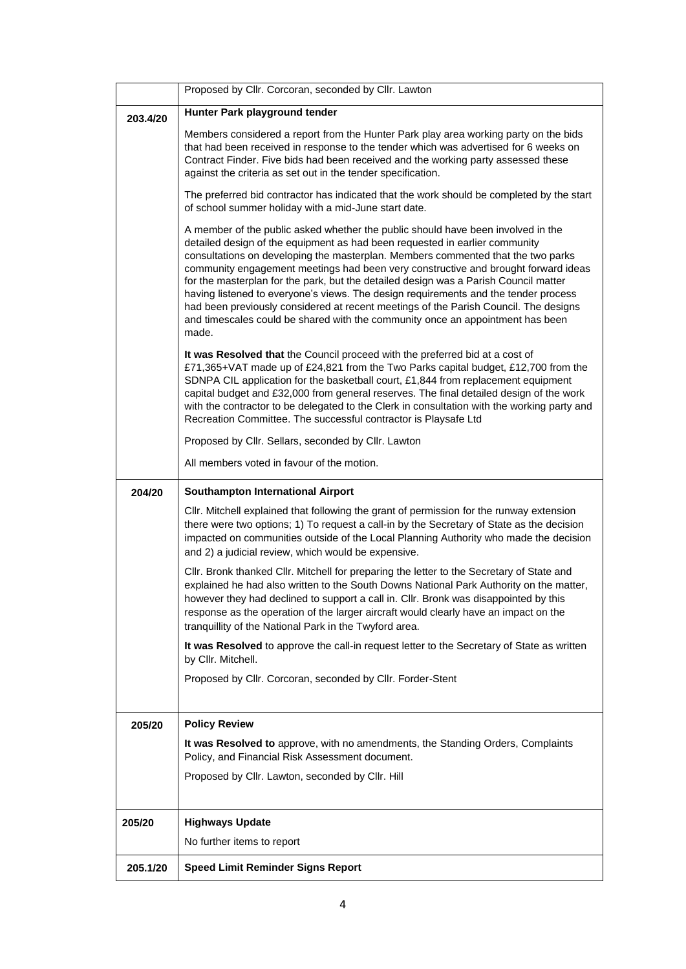|          | Proposed by Cllr. Corcoran, seconded by Cllr. Lawton                                                                                                                                                                                                                                                                                                                                                                                                                                                                                                                                                                                                                                                        |  |
|----------|-------------------------------------------------------------------------------------------------------------------------------------------------------------------------------------------------------------------------------------------------------------------------------------------------------------------------------------------------------------------------------------------------------------------------------------------------------------------------------------------------------------------------------------------------------------------------------------------------------------------------------------------------------------------------------------------------------------|--|
| 203.4/20 | Hunter Park playground tender                                                                                                                                                                                                                                                                                                                                                                                                                                                                                                                                                                                                                                                                               |  |
|          | Members considered a report from the Hunter Park play area working party on the bids<br>that had been received in response to the tender which was advertised for 6 weeks on<br>Contract Finder. Five bids had been received and the working party assessed these<br>against the criteria as set out in the tender specification.                                                                                                                                                                                                                                                                                                                                                                           |  |
|          | The preferred bid contractor has indicated that the work should be completed by the start<br>of school summer holiday with a mid-June start date.                                                                                                                                                                                                                                                                                                                                                                                                                                                                                                                                                           |  |
|          | A member of the public asked whether the public should have been involved in the<br>detailed design of the equipment as had been requested in earlier community<br>consultations on developing the masterplan. Members commented that the two parks<br>community engagement meetings had been very constructive and brought forward ideas<br>for the masterplan for the park, but the detailed design was a Parish Council matter<br>having listened to everyone's views. The design requirements and the tender process<br>had been previously considered at recent meetings of the Parish Council. The designs<br>and timescales could be shared with the community once an appointment has been<br>made. |  |
|          | It was Resolved that the Council proceed with the preferred bid at a cost of<br>£71,365+VAT made up of £24,821 from the Two Parks capital budget, £12,700 from the<br>SDNPA CIL application for the basketball court, £1,844 from replacement equipment<br>capital budget and £32,000 from general reserves. The final detailed design of the work<br>with the contractor to be delegated to the Clerk in consultation with the working party and<br>Recreation Committee. The successful contractor is Playsafe Ltd                                                                                                                                                                                        |  |
|          | Proposed by Cllr. Sellars, seconded by Cllr. Lawton                                                                                                                                                                                                                                                                                                                                                                                                                                                                                                                                                                                                                                                         |  |
|          | All members voted in favour of the motion.                                                                                                                                                                                                                                                                                                                                                                                                                                                                                                                                                                                                                                                                  |  |
| 204/20   | <b>Southampton International Airport</b>                                                                                                                                                                                                                                                                                                                                                                                                                                                                                                                                                                                                                                                                    |  |
|          | CIIr. Mitchell explained that following the grant of permission for the runway extension<br>there were two options; 1) To request a call-in by the Secretary of State as the decision<br>impacted on communities outside of the Local Planning Authority who made the decision<br>and 2) a judicial review, which would be expensive.                                                                                                                                                                                                                                                                                                                                                                       |  |
|          | Cllr. Bronk thanked Cllr. Mitchell for preparing the letter to the Secretary of State and<br>explained he had also written to the South Downs National Park Authority on the matter,<br>however they had declined to support a call in. Cllr. Bronk was disappointed by this<br>response as the operation of the larger aircraft would clearly have an impact on the<br>tranquillity of the National Park in the Twyford area.                                                                                                                                                                                                                                                                              |  |
|          | It was Resolved to approve the call-in request letter to the Secretary of State as written<br>by Cllr. Mitchell.                                                                                                                                                                                                                                                                                                                                                                                                                                                                                                                                                                                            |  |
|          | Proposed by Cllr. Corcoran, seconded by Cllr. Forder-Stent                                                                                                                                                                                                                                                                                                                                                                                                                                                                                                                                                                                                                                                  |  |
| 205/20   | <b>Policy Review</b>                                                                                                                                                                                                                                                                                                                                                                                                                                                                                                                                                                                                                                                                                        |  |
|          | It was Resolved to approve, with no amendments, the Standing Orders, Complaints<br>Policy, and Financial Risk Assessment document.                                                                                                                                                                                                                                                                                                                                                                                                                                                                                                                                                                          |  |
|          | Proposed by Cllr. Lawton, seconded by Cllr. Hill                                                                                                                                                                                                                                                                                                                                                                                                                                                                                                                                                                                                                                                            |  |
| 205/20   | <b>Highways Update</b>                                                                                                                                                                                                                                                                                                                                                                                                                                                                                                                                                                                                                                                                                      |  |
|          | No further items to report                                                                                                                                                                                                                                                                                                                                                                                                                                                                                                                                                                                                                                                                                  |  |
|          |                                                                                                                                                                                                                                                                                                                                                                                                                                                                                                                                                                                                                                                                                                             |  |
| 205.1/20 | <b>Speed Limit Reminder Signs Report</b>                                                                                                                                                                                                                                                                                                                                                                                                                                                                                                                                                                                                                                                                    |  |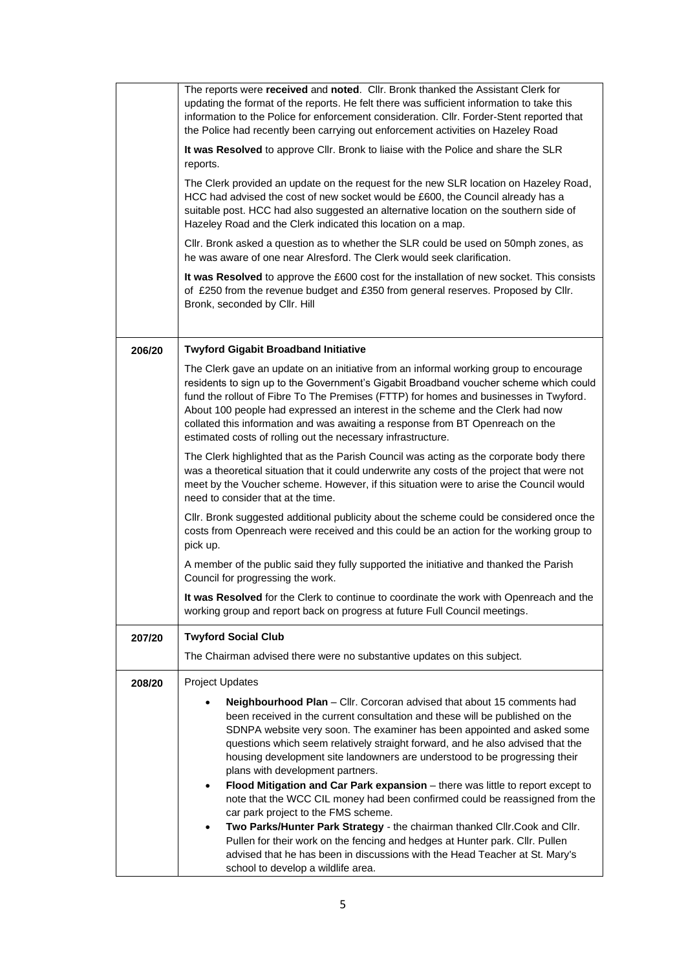|        | The reports were received and noted. Cllr. Bronk thanked the Assistant Clerk for<br>updating the format of the reports. He felt there was sufficient information to take this<br>information to the Police for enforcement consideration. Cllr. Forder-Stent reported that<br>the Police had recently been carrying out enforcement activities on Hazeley Road<br>It was Resolved to approve CIIr. Bronk to liaise with the Police and share the SLR<br>reports.<br>The Clerk provided an update on the request for the new SLR location on Hazeley Road,<br>HCC had advised the cost of new socket would be £600, the Council already has a<br>suitable post. HCC had also suggested an alternative location on the southern side of<br>Hazeley Road and the Clerk indicated this location on a map.<br>CIIr. Bronk asked a question as to whether the SLR could be used on 50mph zones, as<br>he was aware of one near Alresford. The Clerk would seek clarification.<br>It was Resolved to approve the £600 cost for the installation of new socket. This consists<br>of £250 from the revenue budget and £350 from general reserves. Proposed by Cllr.<br>Bronk, seconded by Cllr. Hill |  |
|--------|---------------------------------------------------------------------------------------------------------------------------------------------------------------------------------------------------------------------------------------------------------------------------------------------------------------------------------------------------------------------------------------------------------------------------------------------------------------------------------------------------------------------------------------------------------------------------------------------------------------------------------------------------------------------------------------------------------------------------------------------------------------------------------------------------------------------------------------------------------------------------------------------------------------------------------------------------------------------------------------------------------------------------------------------------------------------------------------------------------------------------------------------------------------------------------------------|--|
| 206/20 | <b>Twyford Gigabit Broadband Initiative</b>                                                                                                                                                                                                                                                                                                                                                                                                                                                                                                                                                                                                                                                                                                                                                                                                                                                                                                                                                                                                                                                                                                                                                 |  |
|        | The Clerk gave an update on an initiative from an informal working group to encourage<br>residents to sign up to the Government's Gigabit Broadband voucher scheme which could<br>fund the rollout of Fibre To The Premises (FTTP) for homes and businesses in Twyford.<br>About 100 people had expressed an interest in the scheme and the Clerk had now<br>collated this information and was awaiting a response from BT Openreach on the<br>estimated costs of rolling out the necessary infrastructure.                                                                                                                                                                                                                                                                                                                                                                                                                                                                                                                                                                                                                                                                                 |  |
|        | The Clerk highlighted that as the Parish Council was acting as the corporate body there<br>was a theoretical situation that it could underwrite any costs of the project that were not<br>meet by the Voucher scheme. However, if this situation were to arise the Council would<br>need to consider that at the time.                                                                                                                                                                                                                                                                                                                                                                                                                                                                                                                                                                                                                                                                                                                                                                                                                                                                      |  |
|        | CIIr. Bronk suggested additional publicity about the scheme could be considered once the<br>costs from Openreach were received and this could be an action for the working group to<br>pick up.                                                                                                                                                                                                                                                                                                                                                                                                                                                                                                                                                                                                                                                                                                                                                                                                                                                                                                                                                                                             |  |
|        | A member of the public said they fully supported the initiative and thanked the Parish<br>Council for progressing the work.                                                                                                                                                                                                                                                                                                                                                                                                                                                                                                                                                                                                                                                                                                                                                                                                                                                                                                                                                                                                                                                                 |  |
|        | It was Resolved for the Clerk to continue to coordinate the work with Openreach and the<br>working group and report back on progress at future Full Council meetings.                                                                                                                                                                                                                                                                                                                                                                                                                                                                                                                                                                                                                                                                                                                                                                                                                                                                                                                                                                                                                       |  |
| 207/20 | <b>Twyford Social Club</b>                                                                                                                                                                                                                                                                                                                                                                                                                                                                                                                                                                                                                                                                                                                                                                                                                                                                                                                                                                                                                                                                                                                                                                  |  |
|        | The Chairman advised there were no substantive updates on this subject.                                                                                                                                                                                                                                                                                                                                                                                                                                                                                                                                                                                                                                                                                                                                                                                                                                                                                                                                                                                                                                                                                                                     |  |
| 208/20 | <b>Project Updates</b>                                                                                                                                                                                                                                                                                                                                                                                                                                                                                                                                                                                                                                                                                                                                                                                                                                                                                                                                                                                                                                                                                                                                                                      |  |
|        | Neighbourhood Plan - Cllr. Corcoran advised that about 15 comments had<br>been received in the current consultation and these will be published on the                                                                                                                                                                                                                                                                                                                                                                                                                                                                                                                                                                                                                                                                                                                                                                                                                                                                                                                                                                                                                                      |  |
|        | SDNPA website very soon. The examiner has been appointed and asked some<br>questions which seem relatively straight forward, and he also advised that the                                                                                                                                                                                                                                                                                                                                                                                                                                                                                                                                                                                                                                                                                                                                                                                                                                                                                                                                                                                                                                   |  |
|        | housing development site landowners are understood to be progressing their<br>plans with development partners.                                                                                                                                                                                                                                                                                                                                                                                                                                                                                                                                                                                                                                                                                                                                                                                                                                                                                                                                                                                                                                                                              |  |
|        | Flood Mitigation and Car Park expansion - there was little to report except to<br>note that the WCC CIL money had been confirmed could be reassigned from the<br>car park project to the FMS scheme.                                                                                                                                                                                                                                                                                                                                                                                                                                                                                                                                                                                                                                                                                                                                                                                                                                                                                                                                                                                        |  |
|        | Two Parks/Hunter Park Strategy - the chairman thanked Cllr. Cook and Cllr.<br>Pullen for their work on the fencing and hedges at Hunter park. Cllr. Pullen<br>advised that he has been in discussions with the Head Teacher at St. Mary's<br>school to develop a wildlife area.                                                                                                                                                                                                                                                                                                                                                                                                                                                                                                                                                                                                                                                                                                                                                                                                                                                                                                             |  |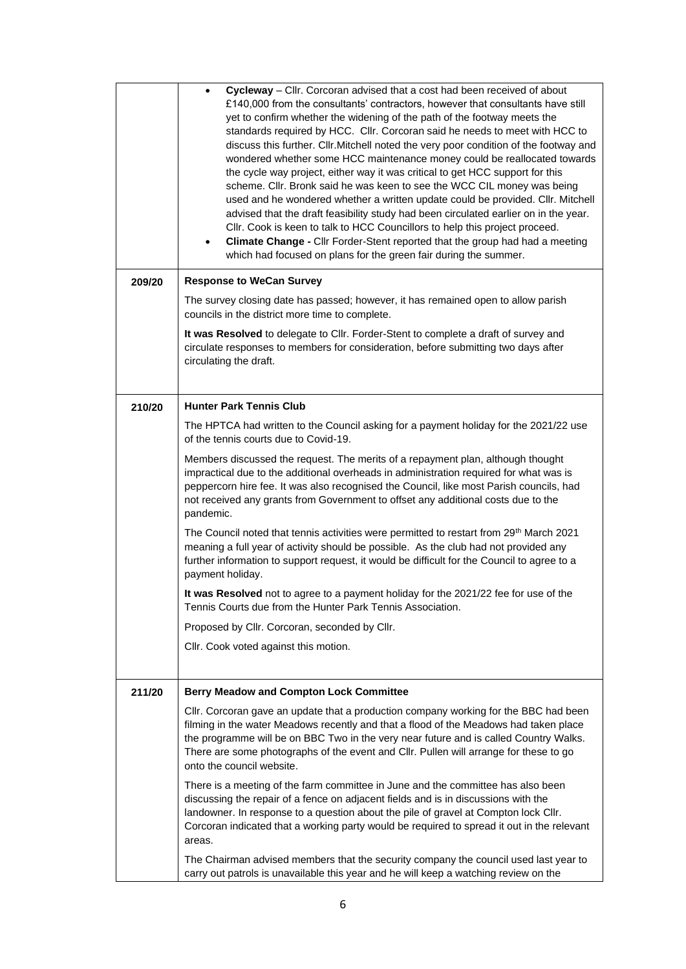|        | Cycleway – Cllr. Corcoran advised that a cost had been received of about<br>$\bullet$<br>£140,000 from the consultants' contractors, however that consultants have still<br>yet to confirm whether the widening of the path of the footway meets the<br>standards required by HCC. Cllr. Corcoran said he needs to meet with HCC to<br>discuss this further. Cllr. Mitchell noted the very poor condition of the footway and<br>wondered whether some HCC maintenance money could be reallocated towards<br>the cycle way project, either way it was critical to get HCC support for this<br>scheme. Cllr. Bronk said he was keen to see the WCC CIL money was being<br>used and he wondered whether a written update could be provided. Cllr. Mitchell<br>advised that the draft feasibility study had been circulated earlier on in the year.<br>CIIr. Cook is keen to talk to HCC Councillors to help this project proceed.<br>Climate Change - Cllr Forder-Stent reported that the group had had a meeting<br>$\bullet$<br>which had focused on plans for the green fair during the summer. |  |  |
|--------|-------------------------------------------------------------------------------------------------------------------------------------------------------------------------------------------------------------------------------------------------------------------------------------------------------------------------------------------------------------------------------------------------------------------------------------------------------------------------------------------------------------------------------------------------------------------------------------------------------------------------------------------------------------------------------------------------------------------------------------------------------------------------------------------------------------------------------------------------------------------------------------------------------------------------------------------------------------------------------------------------------------------------------------------------------------------------------------------------|--|--|
| 209/20 | <b>Response to WeCan Survey</b>                                                                                                                                                                                                                                                                                                                                                                                                                                                                                                                                                                                                                                                                                                                                                                                                                                                                                                                                                                                                                                                                 |  |  |
|        | The survey closing date has passed; however, it has remained open to allow parish<br>councils in the district more time to complete.                                                                                                                                                                                                                                                                                                                                                                                                                                                                                                                                                                                                                                                                                                                                                                                                                                                                                                                                                            |  |  |
|        | It was Resolved to delegate to Cllr. Forder-Stent to complete a draft of survey and<br>circulate responses to members for consideration, before submitting two days after<br>circulating the draft.                                                                                                                                                                                                                                                                                                                                                                                                                                                                                                                                                                                                                                                                                                                                                                                                                                                                                             |  |  |
| 210/20 | <b>Hunter Park Tennis Club</b>                                                                                                                                                                                                                                                                                                                                                                                                                                                                                                                                                                                                                                                                                                                                                                                                                                                                                                                                                                                                                                                                  |  |  |
|        | The HPTCA had written to the Council asking for a payment holiday for the 2021/22 use<br>of the tennis courts due to Covid-19.                                                                                                                                                                                                                                                                                                                                                                                                                                                                                                                                                                                                                                                                                                                                                                                                                                                                                                                                                                  |  |  |
|        | Members discussed the request. The merits of a repayment plan, although thought<br>impractical due to the additional overheads in administration required for what was is<br>peppercorn hire fee. It was also recognised the Council, like most Parish councils, had<br>not received any grants from Government to offset any additional costs due to the<br>pandemic.                                                                                                                                                                                                                                                                                                                                                                                                                                                                                                                                                                                                                                                                                                                          |  |  |
|        | The Council noted that tennis activities were permitted to restart from 29 <sup>th</sup> March 2021<br>meaning a full year of activity should be possible. As the club had not provided any<br>further information to support request, it would be difficult for the Council to agree to a<br>payment holiday.                                                                                                                                                                                                                                                                                                                                                                                                                                                                                                                                                                                                                                                                                                                                                                                  |  |  |
|        | It was Resolved not to agree to a payment holiday for the 2021/22 fee for use of the<br>Tennis Courts due from the Hunter Park Tennis Association.                                                                                                                                                                                                                                                                                                                                                                                                                                                                                                                                                                                                                                                                                                                                                                                                                                                                                                                                              |  |  |
|        | Proposed by Cllr. Corcoran, seconded by Cllr.                                                                                                                                                                                                                                                                                                                                                                                                                                                                                                                                                                                                                                                                                                                                                                                                                                                                                                                                                                                                                                                   |  |  |
|        | Cllr. Cook voted against this motion.                                                                                                                                                                                                                                                                                                                                                                                                                                                                                                                                                                                                                                                                                                                                                                                                                                                                                                                                                                                                                                                           |  |  |
| 211/20 | <b>Berry Meadow and Compton Lock Committee</b>                                                                                                                                                                                                                                                                                                                                                                                                                                                                                                                                                                                                                                                                                                                                                                                                                                                                                                                                                                                                                                                  |  |  |
|        | Cllr. Corcoran gave an update that a production company working for the BBC had been<br>filming in the water Meadows recently and that a flood of the Meadows had taken place<br>the programme will be on BBC Two in the very near future and is called Country Walks.<br>There are some photographs of the event and Cllr. Pullen will arrange for these to go<br>onto the council website.                                                                                                                                                                                                                                                                                                                                                                                                                                                                                                                                                                                                                                                                                                    |  |  |
|        | There is a meeting of the farm committee in June and the committee has also been<br>discussing the repair of a fence on adjacent fields and is in discussions with the<br>landowner. In response to a question about the pile of gravel at Compton lock Cllr.<br>Corcoran indicated that a working party would be required to spread it out in the relevant<br>areas.                                                                                                                                                                                                                                                                                                                                                                                                                                                                                                                                                                                                                                                                                                                           |  |  |
|        | The Chairman advised members that the security company the council used last year to<br>carry out patrols is unavailable this year and he will keep a watching review on the                                                                                                                                                                                                                                                                                                                                                                                                                                                                                                                                                                                                                                                                                                                                                                                                                                                                                                                    |  |  |